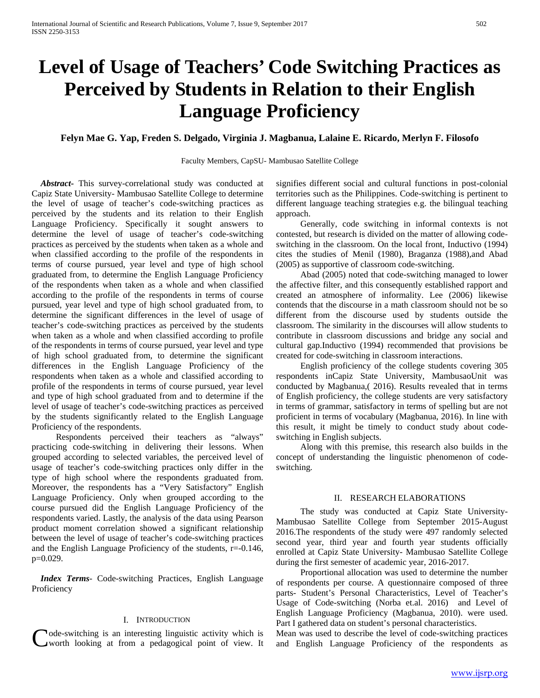# **Level of Usage of Teachers' Code Switching Practices as Perceived by Students in Relation to their English Language Proficiency**

## **Felyn Mae G. Yap, Freden S. Delgado, Virginia J. Magbanua, Lalaine E. Ricardo, Merlyn F. Filosofo**

#### Faculty Members, CapSU- Mambusao Satellite College

 *Abstract***-** This survey-correlational study was conducted at Capiz State University- Mambusao Satellite College to determine the level of usage of teacher's code-switching practices as perceived by the students and its relation to their English Language Proficiency. Specifically it sought answers to determine the level of usage of teacher's code-switching practices as perceived by the students when taken as a whole and when classified according to the profile of the respondents in terms of course pursued, year level and type of high school graduated from, to determine the English Language Proficiency of the respondents when taken as a whole and when classified according to the profile of the respondents in terms of course pursued, year level and type of high school graduated from, to determine the significant differences in the level of usage of teacher's code-switching practices as perceived by the students when taken as a whole and when classified according to profile of the respondents in terms of course pursued, year level and type of high school graduated from, to determine the significant differences in the English Language Proficiency of the respondents when taken as a whole and classified according to profile of the respondents in terms of course pursued, year level and type of high school graduated from and to determine if the level of usage of teacher's code-switching practices as perceived by the students significantly related to the English Language Proficiency of the respondents.

 Respondents perceived their teachers as "always" practicing code-switching in delivering their lessons. When grouped according to selected variables, the perceived level of usage of teacher's code-switching practices only differ in the type of high school where the respondents graduated from. Moreover, the respondents has a "Very Satisfactory" English Language Proficiency. Only when grouped according to the course pursued did the English Language Proficiency of the respondents varied. Lastly, the analysis of the data using Pearson product moment correlation showed a significant relationship between the level of usage of teacher's code-switching practices and the English Language Proficiency of the students, r=-0.146, p=0.029.

 *Index Terms*- Code-switching Practices, English Language **Proficiency** 

#### I. INTRODUCTION

ode-switching is an interesting linguistic activity which is worth looking at from a pedagogical point of view. It

signifies different social and cultural functions in post-colonial territories such as the Philippines. Code-switching is pertinent to different language teaching strategies e.g. the bilingual teaching approach.

 Generally, code switching in informal contexts is not contested, but research is divided on the matter of allowing codeswitching in the classroom. On the local front, Inductivo (1994) cites the studies of Menil (1980), Braganza (1988),and Abad (2005) as supportive of classroom code-switching.

 Abad (2005) noted that code-switching managed to lower the affective filter, and this consequently established rapport and created an atmosphere of informality. Lee (2006) likewise contends that the discourse in a math classroom should not be so different from the discourse used by students outside the classroom. The similarity in the discourses will allow students to contribute in classroom discussions and bridge any social and cultural gap.Inductivo (1994) recommended that provisions be created for code-switching in classroom interactions.

 English proficiency of the college students covering 305 respondents inCapiz State University, MambusaoUnit was conducted by Magbanua,( 2016). Results revealed that in terms of English proficiency, the college students are very satisfactory in terms of grammar, satisfactory in terms of spelling but are not proficient in terms of vocabulary (Magbanua, 2016). In line with this result, it might be timely to conduct study about codeswitching in English subjects.

 Along with this premise, this research also builds in the concept of understanding the linguistic phenomenon of codeswitching*.*

#### II. RESEARCH ELABORATIONS

 The study was conducted at Capiz State University-Mambusao Satellite College from September 2015-August 2016.The respondents of the study were 497 randomly selected second year, third year and fourth year students officially enrolled at Capiz State University- Mambusao Satellite College during the first semester of academic year, 2016-2017.

 Proportional allocation was used to determine the number of respondents per course. A questionnaire composed of three parts- Student's Personal Characteristics, Level of Teacher's Usage of Code-switching (Norba et.al. 2016) and Level of English Language Proficiency (Magbanua, 2010). were used. Part I gathered data on student's personal characteristics.

Mean was used to describe the level of code-switching practices and English Language Proficiency of the respondents as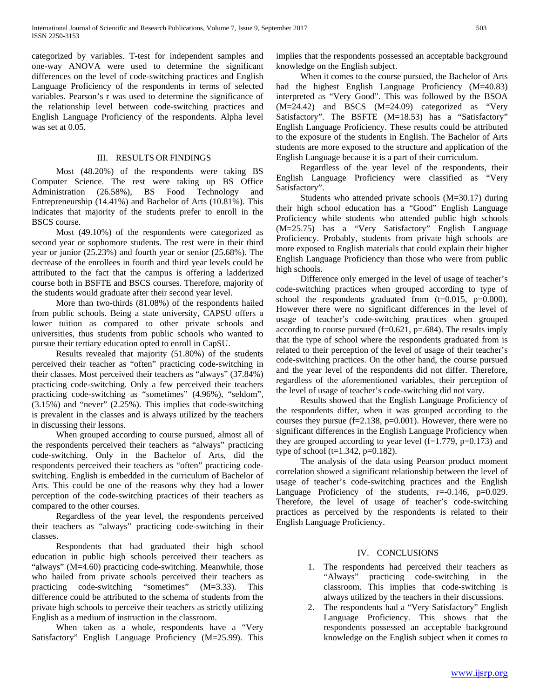categorized by variables. T-test for independent samples and one-way ANOVA were used to determine the significant differences on the level of code-switching practices and English Language Proficiency of the respondents in terms of selected variables. Pearson's r was used to determine the significance of the relationship level between code-switching practices and English Language Proficiency of the respondents. Alpha level was set at 0.05.

### III. RESULTS OR FINDINGS

 Most (48.20%) of the respondents were taking BS Computer Science. The rest were taking up BS Office Administration (26.58%), BS Food Technology and Entrepreneurship (14.41%) and Bachelor of Arts (10.81%). This indicates that majority of the students prefer to enroll in the BSCS course.

 Most (49.10%) of the respondents were categorized as second year or sophomore students. The rest were in their third year or junior (25.23%) and fourth year or senior (25.68%). The decrease of the enrollees in fourth and third year levels could be attributed to the fact that the campus is offering a ladderized course both in BSFTE and BSCS courses. Therefore, majority of the students would graduate after their second year level.

 More than two-thirds (81.08%) of the respondents hailed from public schools. Being a state university, CAPSU offers a lower tuition as compared to other private schools and universities, thus students from public schools who wanted to pursue their tertiary education opted to enroll in CapSU.

 Results revealed that majority (51.80%) of the students perceived their teacher as "often" practicing code-switching in their classes. Most perceived their teachers as "always" (37.84%) practicing code-switching. Only a few perceived their teachers practicing code-switching as "sometimes" (4.96%), "seldom",  $(3.15%)$  and "never"  $(2.25%)$ . This implies that code-switching is prevalent in the classes and is always utilized by the teachers in discussing their lessons.

 When grouped according to course pursued, almost all of the respondents perceived their teachers as "always" practicing code-switching. Only in the Bachelor of Arts, did the respondents perceived their teachers as "often" practicing codeswitching. English is embedded in the curriculum of Bachelor of Arts. This could be one of the reasons why they had a lower perception of the code-switching practices of their teachers as compared to the other courses.

 Regardless of the year level, the respondents perceived their teachers as "always" practicing code-switching in their classes.

 Respondents that had graduated their high school education in public high schools perceived their teachers as "always" (M=4.60) practicing code-switching. Meanwhile, those who hailed from private schools perceived their teachers as practicing code-switching "sometimes" (M=3.33). This difference could be attributed to the schema of students from the private high schools to perceive their teachers as strictly utilizing English as a medium of instruction in the classroom.

 When taken as a whole, respondents have a "Very Satisfactory" English Language Proficiency (M=25.99). This implies that the respondents possessed an acceptable background knowledge on the English subject.

 When it comes to the course pursued, the Bachelor of Arts had the highest English Language Proficiency (M=40.83) interpreted as "Very Good". This was followed by the BSOA (M=24.42) and BSCS (M=24.09) categorized as "Very Satisfactory". The BSFTE (M=18.53) has a "Satisfactory" English Language Proficiency. These results could be attributed to the exposure of the students in English. The Bachelor of Arts students are more exposed to the structure and application of the English Language because it is a part of their curriculum.

 Regardless of the year level of the respondents, their English Language Proficiency were classified as "Very Satisfactory".

 Students who attended private schools (M=30.17) during their high school education has a "Good" English Language Proficiency while students who attended public high schools (M=25.75) has a "Very Satisfactory" English Language Proficiency. Probably, students from private high schools are more exposed to English materials that could explain their higher English Language Proficiency than those who were from public high schools.

 Difference only emerged in the level of usage of teacher's code-switching practices when grouped according to type of school the respondents graduated from (t=0.015, p=0.000). However there were no significant differences in the level of usage of teacher's code-switching practices when grouped according to course pursued  $(f=0.621, p=.684)$ . The results imply that the type of school where the respondents graduated from is related to their perception of the level of usage of their teacher's code-switching practices. On the other hand, the course pursued and the year level of the respondents did not differ. Therefore, regardless of the aforementioned variables, their perception of the level of usage of teacher's code-switching did not vary.

 Results showed that the English Language Proficiency of the respondents differ, when it was grouped according to the courses they pursue  $(f=2.138, p=0.001)$ . However, there were no significant differences in the English Language Proficiency when they are grouped according to year level  $(f=1.779, p=0.173)$  and type of school ( $t=1.342$ ,  $p=0.182$ ).

 The analysis of the data using Pearson product moment correlation showed a significant relationship between the level of usage of teacher's code-switching practices and the English Language Proficiency of the students,  $r = -0.146$ ,  $p = 0.029$ . Therefore, the level of usage of teacher's code-switching practices as perceived by the respondents is related to their English Language Proficiency.

# IV. CONCLUSIONS

- 1. The respondents had perceived their teachers as "Always" practicing code-switching in the classroom. This implies that code-switching is always utilized by the teachers in their discussions.
- 2. The respondents had a "Very Satisfactory" English Language Proficiency. This shows that the respondents possessed an acceptable background knowledge on the English subject when it comes to